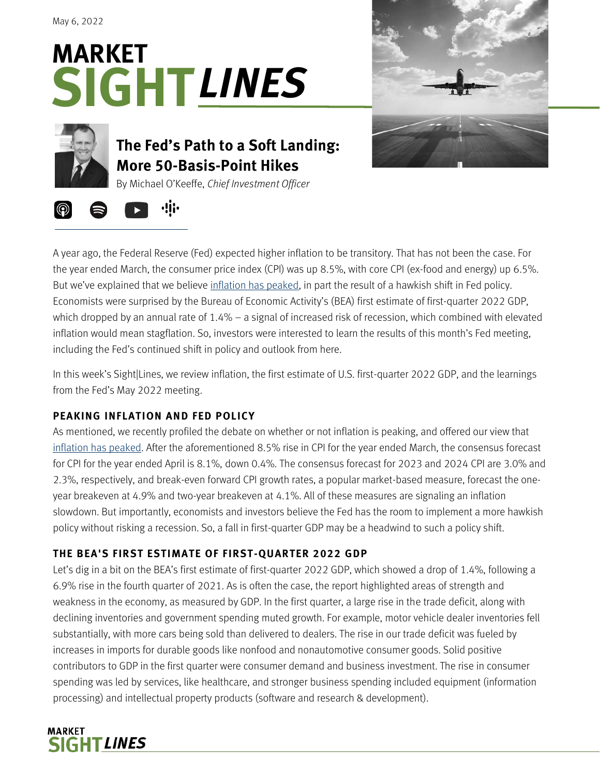May 6, 2022







# **The Fed's Path to a Soft Landing: More 50-Basis-Point Hikes**

By Michael O'Keeffe, *Chief Investment Officer*



A year ago, the Federal Reserve (Fed) expected higher inflation to be transitory. That has not been the case. For the year ended March, the consumer price index (CPI) was up 8.5%, with core CPI (ex-food and energy) up 6.5%. But we've explained that we believe [inflation has peaked,](https://www.stifel.com/Newsletters/AdGraphics/InSight/Sightlines/2022/SL042222.pdf) in part the result of a hawkish shift in Fed policy. Economists were surprised by the Bureau of Economic Activity's (BEA) first estimate of first-quarter 2022 GDP, which dropped by an annual rate of 1.4% – a signal of increased risk of recession, which combined with elevated inflation would mean stagflation. So, investors were interested to learn the results of this month's Fed meeting, including the Fed's continued shift in policy and outlook from here.

In this week's Sight|Lines, we review inflation, the first estimate of U.S. first-quarter 2022 GDP, and the learnings from the Fed's May 2022 meeting.

## **PEAKING INFLATION AND FED POLICY**

As mentioned, we recently profiled the debate on whether or not inflation is peaking, and offered our view that [inflation has peaked.](https://www.stifel.com/Newsletters/AdGraphics/InSight/Sightlines/2022/SL042222.pdf) After the aforementioned 8.5% rise in CPI for the year ended March, the consensus forecast for CPI for the year ended April is 8.1%, down 0.4%. The consensus forecast for 2023 and 2024 CPI are 3.0% and 2.3%, respectively, and break-even forward CPI growth rates, a popular market-based measure, forecast the oneyear breakeven at 4.9% and two-year breakeven at 4.1%. All of these measures are signaling an inflation slowdown. But importantly, economists and investors believe the Fed has the room to implement a more hawkish policy without risking a recession. So, a fall in first-quarter GDP may be a headwind to such a policy shift.

## **THE BEA'S FIRST ESTIMATE OF FIRST-QUARTER 2022 GDP**

Let's dig in a bit on the BEA's first estimate of first-quarter 2022 GDP, which showed a drop of 1.4%, following a 6.9% rise in the fourth quarter of 2021. As is often the case, the report highlighted areas of strength and weakness in the economy, as measured by GDP. In the first quarter, a large rise in the trade deficit, along with declining inventories and government spending muted growth. For example, motor vehicle dealer inventories fell substantially, with more cars being sold than delivered to dealers. The rise in our trade deficit was fueled by increases in imports for durable goods like nonfood and nonautomotive consumer goods. Solid positive contributors to GDP in the first quarter were consumer demand and business investment. The rise in consumer spending was led by services, like healthcare, and stronger business spending included equipment (information processing) and intellectual property products (software and research & development).

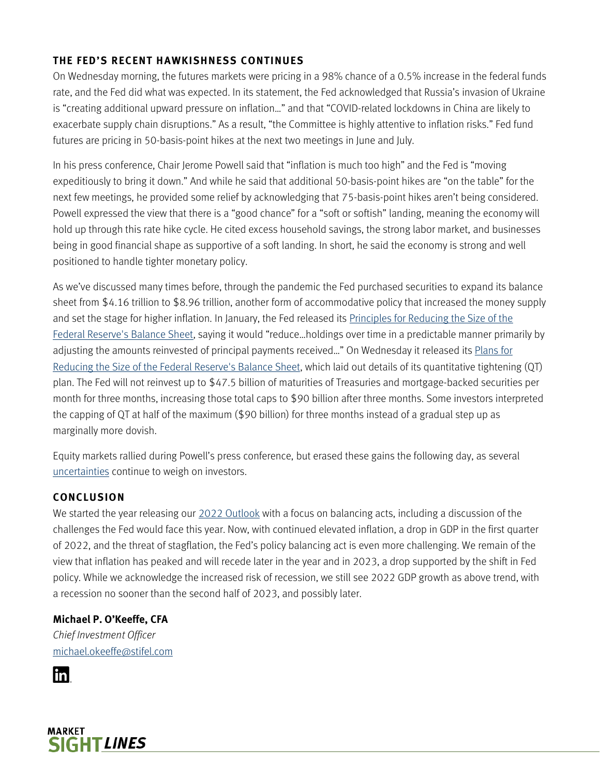#### **THE FED'S RECENT HAWKISHNESS CONTINUES**

On Wednesday morning, the futures markets were pricing in a 98% chance of a 0.5% increase in the federal funds rate, and the Fed did what was expected. In its statement, the Fed acknowledged that Russia's invasion of Ukraine is "creating additional upward pressure on inflation…" and that "COVID-related lockdowns in China are likely to exacerbate supply chain disruptions." As a result, "the Committee is highly attentive to inflation risks." Fed fund futures are pricing in 50-basis-point hikes at the next two meetings in June and July.

In his press conference, Chair Jerome Powell said that "inflation is much too high" and the Fed is "moving expeditiously to bring it down." And while he said that additional 50-basis-point hikes are "on the table" for the next few meetings, he provided some relief by acknowledging that 75-basis-point hikes aren't being considered. Powell expressed the view that there is a "good chance" for a "soft or softish" landing, meaning the economy will hold up through this rate hike cycle. He cited excess household savings, the strong labor market, and businesses being in good financial shape as supportive of a soft landing. In short, he said the economy is strong and well positioned to handle tighter monetary policy.

As we've discussed many times before, through the pandemic the Fed purchased securities to expand its balance sheet from \$4.16 trillion to \$8.96 trillion, another form of accommodative policy that increased the money supply and set the stage for higher inflation. In January, the Fed released it[s Principles for Reducing the Size of the](https://www.federalreserve.gov/newsevents/pressreleases/monetary20220126c.htm)  [Federal Reserve's Balance Sheet,](https://www.federalreserve.gov/newsevents/pressreleases/monetary20220126c.htm) saying it would "reduce...holdings over time in a predictable manner primarily by adjusting the amounts reinvested of principal payments received..." On Wednesday it released its Plans for [Reducing the Size of the Federal Reserve's Balance Sheet,](https://www.federalreserve.gov/newsevents/pressreleases/monetary20220504b.htm) which laid out details of its quantitative tightening (QT) plan. The Fed will not reinvest up to \$47.5 billion of maturities of Treasuries and mortgage-backed securities per month for three months, increasing those total caps to \$90 billion after three months. Some investors interpreted the capping of QT at half of the maximum (\$90 billion) for three months instead of a gradual step up as marginally more dovish.

Equity markets rallied during Powell's press conference, but erased these gains the following day, as several [uncertainties](https://www.stifel.com/Newsletters/AdGraphics/InSight/Sightlines/2022/SL042922.pdf) continue to weigh on investors.

#### **CONCLUSION**

We started the year releasing our [2022 Outlook](https://www.stifel.com/newsletters/adgraphics/insight/outlook/outlook.pdf) with a focus on balancing acts, including a discussion of the challenges the Fed would face this year. Now, with continued elevated inflation, a drop in GDP in the first quarter of 2022, and the threat of stagflation, the Fed's policy balancing act is even more challenging. We remain of the view that inflation has peaked and will recede later in the year and in 2023, a drop supported by the shift in Fed policy. While we acknowledge the increased risk of recession, we still see 2022 GDP growth as above trend, with a recession no sooner than the second half of 2023, and possibly later.

### **Michael P. O'Keeffe, CFA**

*Chief Investment Officer* [michael.okeeffe@stifel.com](mailto:michael.okeeffe@stifel.com)